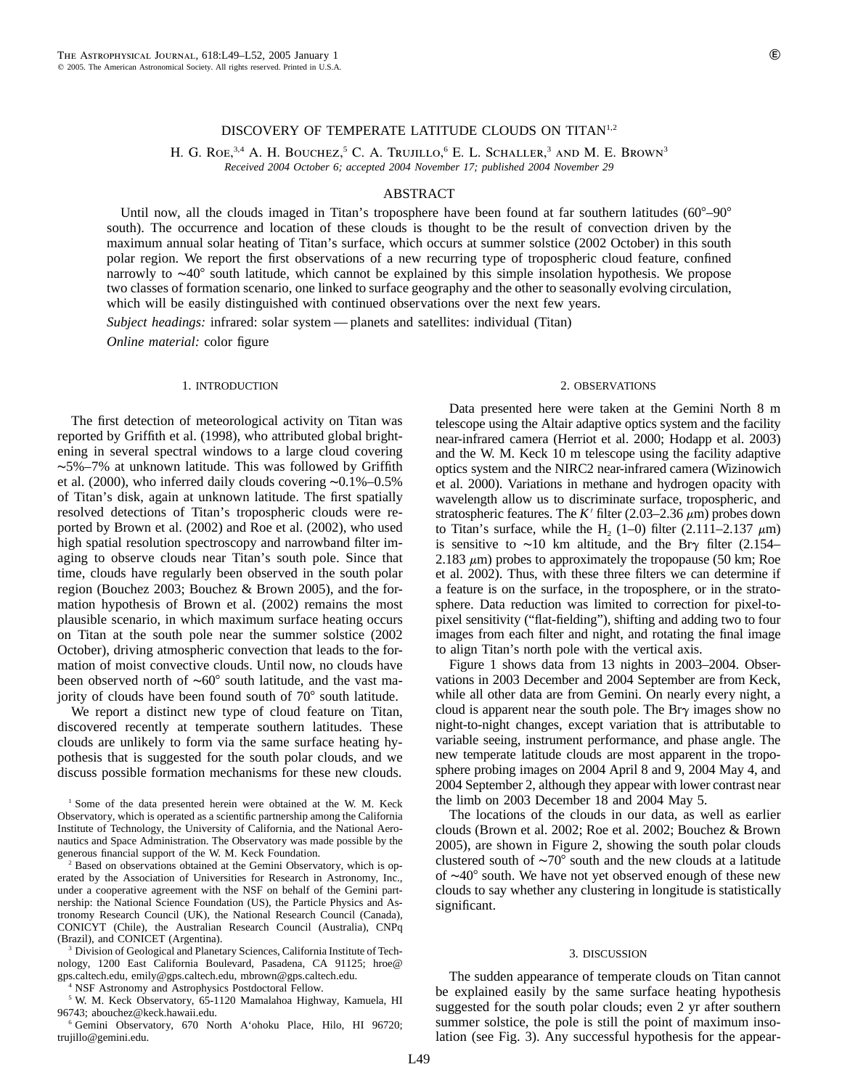# DISCOVERY OF TEMPERATE LATITUDE CLOUDS ON TITAN<sup>1,2</sup>

H. G. ROE,<sup>3,4</sup> A. H. BOUCHEZ,<sup>5</sup> C. A. Trujillo,<sup>6</sup> E. L. Schaller,<sup>3</sup> and M. E. Brown<sup>3</sup> *Received 2004 October 6; accepted 2004 November 17; published 2004 November 29*

## ABSTRACT

Until now, all the clouds imaged in Titan's troposphere have been found at far southern latitudes  $(60^{\circ}-90^{\circ}$ south). The occurrence and location of these clouds is thought to be the result of convection driven by the maximum annual solar heating of Titan's surface, which occurs at summer solstice (2002 October) in this south polar region. We report the first observations of a new recurring type of tropospheric cloud feature, confined narrowly to ~40° south latitude, which cannot be explained by this simple insolation hypothesis. We propose two classes of formation scenario, one linked to surface geography and the other to seasonally evolving circulation, which will be easily distinguished with continued observations over the next few years.

*Subject headings:* infrared: solar system — planets and satellites: individual (Titan)

*Online material:* color figure

#### 1. INTRODUCTION

The first detection of meteorological activity on Titan was reported by Griffith et al. (1998), who attributed global brightening in several spectral windows to a large cloud covering ∼5%–7% at unknown latitude. This was followed by Griffith et al. (2000), who inferred daily clouds covering ∼0.1%–0.5% of Titan's disk, again at unknown latitude. The first spatially resolved detections of Titan's tropospheric clouds were reported by Brown et al. (2002) and Roe et al. (2002), who used high spatial resolution spectroscopy and narrowband filter imaging to observe clouds near Titan's south pole. Since that time, clouds have regularly been observed in the south polar region (Bouchez 2003; Bouchez & Brown 2005), and the formation hypothesis of Brown et al. (2002) remains the most plausible scenario, in which maximum surface heating occurs on Titan at the south pole near the summer solstice (2002 October), driving atmospheric convection that leads to the formation of moist convective clouds. Until now, no clouds have been observed north of ~60° south latitude, and the vast majority of clouds have been found south of 70° south latitude.

We report a distinct new type of cloud feature on Titan, discovered recently at temperate southern latitudes. These clouds are unlikely to form via the same surface heating hypothesis that is suggested for the south polar clouds, and we discuss possible formation mechanisms for these new clouds.

<sup>1</sup> Some of the data presented herein were obtained at the W. M. Keck Observatory, which is operated as a scientific partnership among the California Institute of Technology, the University of California, and the National Aeronautics and Space Administration. The Observatory was made possible by the generous financial support of the W. M. Keck Foundation.

<sup>2</sup> Based on observations obtained at the Gemini Observatory, which is operated by the Association of Universities for Research in Astronomy, Inc., under a cooperative agreement with the NSF on behalf of the Gemini partnership: the National Science Foundation (US), the Particle Physics and Astronomy Research Council (UK), the National Research Council (Canada), CONICYT (Chile), the Australian Research Council (Australia), CNPq (Brazil), and CONICET (Argentina).

<sup>3</sup> Division of Geological and Planetary Sciences, California Institute of Technology, 1200 East California Boulevard, Pasadena, CA 91125; hroe@ gps.caltech.edu, emily@gps.caltech.edu, mbrown@gps.caltech.edu.

<sup>4</sup> NSF Astronomy and Astrophysics Postdoctoral Fellow.

<sup>5</sup> W. M. Keck Observatory, 65-1120 Mamalahoa Highway, Kamuela, HI 96743; abouchez@keck.hawaii.edu.

<sup>6</sup> Gemini Observatory, 670 North A'ohoku Place, Hilo, HI 96720; trujillo@gemini.edu.

## 2. OBSERVATIONS

Data presented here were taken at the Gemini North 8 m telescope using the Altair adaptive optics system and the facility near-infrared camera (Herriot et al. 2000; Hodapp et al. 2003) and the W. M. Keck 10 m telescope using the facility adaptive optics system and the NIRC2 near-infrared camera (Wizinowich et al. 2000). Variations in methane and hydrogen opacity with wavelength allow us to discriminate surface, tropospheric, and stratospheric features. The K' filter  $(2.03-2.36 \,\mu\text{m})$  probes down to Titan's surface, while the H<sub>2</sub> (1–0) filter (2.111–2.137  $\mu$ m) is sensitive to ~10 km altitude, and the Br $\gamma$  filter (2.154– 2.183  $\mu$ m) probes to approximately the tropopause (50 km; Roe et al. 2002). Thus, with these three filters we can determine if a feature is on the surface, in the troposphere, or in the stratosphere. Data reduction was limited to correction for pixel-topixel sensitivity ("flat-fielding"), shifting and adding two to four images from each filter and night, and rotating the final image to align Titan's north pole with the vertical axis.

Figure 1 shows data from 13 nights in 2003–2004. Observations in 2003 December and 2004 September are from Keck, while all other data are from Gemini. On nearly every night, a cloud is apparent near the south pole. The Br $\gamma$  images show no night-to-night changes, except variation that is attributable to variable seeing, instrument performance, and phase angle. The new temperate latitude clouds are most apparent in the troposphere probing images on 2004 April 8 and 9, 2004 May 4, and 2004 September 2, although they appear with lower contrast near the limb on 2003 December 18 and 2004 May 5.

The locations of the clouds in our data, as well as earlier clouds (Brown et al. 2002; Roe et al. 2002; Bouchez & Brown 2005), are shown in Figure 2, showing the south polar clouds clustered south of  $\sim$ 70° south and the new clouds at a latitude of ~40° south. We have not yet observed enough of these new clouds to say whether any clustering in longitude is statistically significant.

#### 3. DISCUSSION

The sudden appearance of temperate clouds on Titan cannot be explained easily by the same surface heating hypothesis suggested for the south polar clouds; even 2 yr after southern summer solstice, the pole is still the point of maximum insolation (see Fig. 3). Any successful hypothesis for the appear-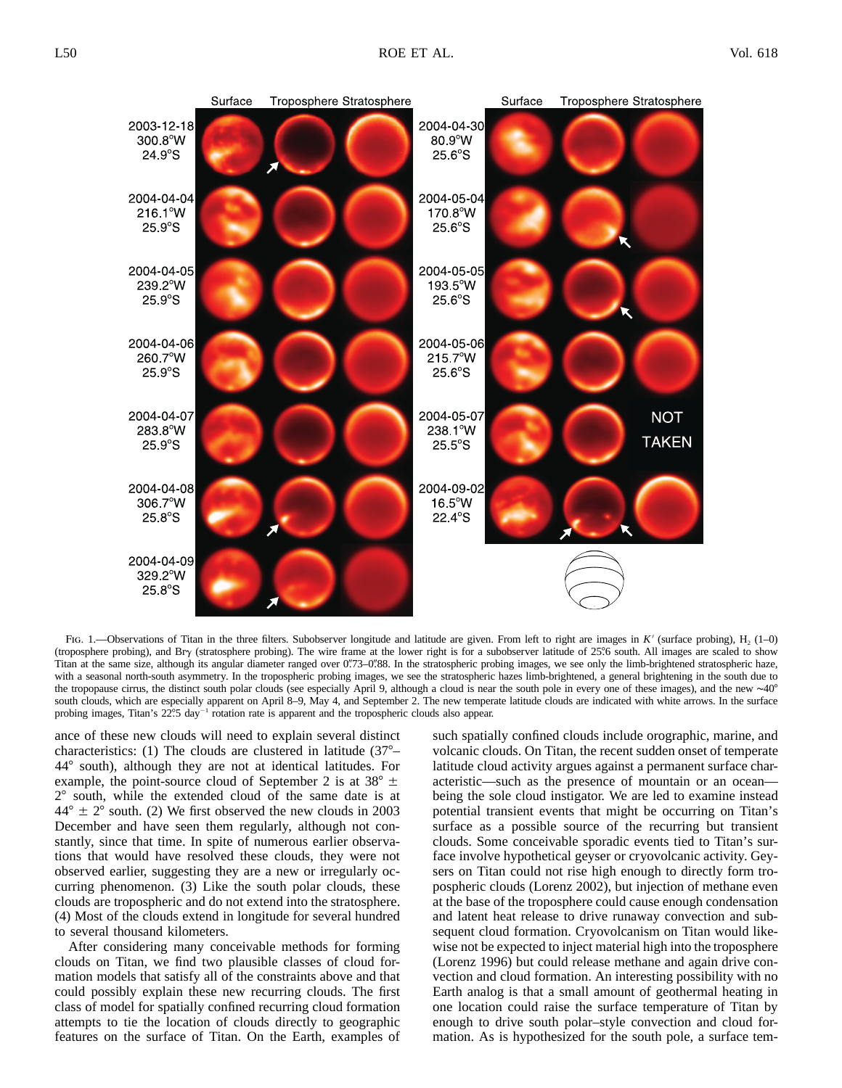

Fig. 1.—Observations of Titan in the three filters. Subobserver longitude and latitude are given. From left to right are images in K' (surface probing), H<sub>2</sub> (1–0) (troposphere probing), and Brg (stratosphere probing). The wire frame at the lower right is for a subobserver latitude of 25-.6 south. All images are scaled to show Titan at the same size, although its angular diameter ranged over 0.73–0.88. In the stratospheric probing images, we see only the limb-brightened stratospheric haze, with a seasonal north-south asymmetry. In the tropospheric probing images, we see the stratospheric hazes limb-brightened, a general brightening in the south due to the tropopause cirrus, the distinct south polar clouds (see especially April 9, although a cloud is near the south pole in every one of these images), and the new ∼40<sup>o</sup> south clouds, which are especially apparent on April 8–9, May 4, and September 2. The new temperate latitude clouds are indicated with white arrows. In the surface probing images, Titan's 22°.5 day<sup>-1</sup> rotation rate is apparent and the tropospheric clouds also appear.

ance of these new clouds will need to explain several distinct characteristics: (1) The clouds are clustered in latitude (37-– 44° south), although they are not at identical latitudes. For example, the point-source cloud of September 2 is at  $38^{\circ} \pm$ 2° south, while the extended cloud of the same date is at  $44^{\circ} \pm 2^{\circ}$  south. (2) We first observed the new clouds in 2003 December and have seen them regularly, although not constantly, since that time. In spite of numerous earlier observations that would have resolved these clouds, they were not observed earlier, suggesting they are a new or irregularly occurring phenomenon. (3) Like the south polar clouds, these clouds are tropospheric and do not extend into the stratosphere. (4) Most of the clouds extend in longitude for several hundred to several thousand kilometers.

After considering many conceivable methods for forming clouds on Titan, we find two plausible classes of cloud formation models that satisfy all of the constraints above and that could possibly explain these new recurring clouds. The first class of model for spatially confined recurring cloud formation attempts to tie the location of clouds directly to geographic features on the surface of Titan. On the Earth, examples of

such spatially confined clouds include orographic, marine, and volcanic clouds. On Titan, the recent sudden onset of temperate latitude cloud activity argues against a permanent surface characteristic—such as the presence of mountain or an ocean being the sole cloud instigator. We are led to examine instead potential transient events that might be occurring on Titan's surface as a possible source of the recurring but transient clouds. Some conceivable sporadic events tied to Titan's surface involve hypothetical geyser or cryovolcanic activity. Geysers on Titan could not rise high enough to directly form tropospheric clouds (Lorenz 2002), but injection of methane even at the base of the troposphere could cause enough condensation and latent heat release to drive runaway convection and subsequent cloud formation. Cryovolcanism on Titan would likewise not be expected to inject material high into the troposphere (Lorenz 1996) but could release methane and again drive convection and cloud formation. An interesting possibility with no Earth analog is that a small amount of geothermal heating in one location could raise the surface temperature of Titan by enough to drive south polar–style convection and cloud formation. As is hypothesized for the south pole, a surface tem-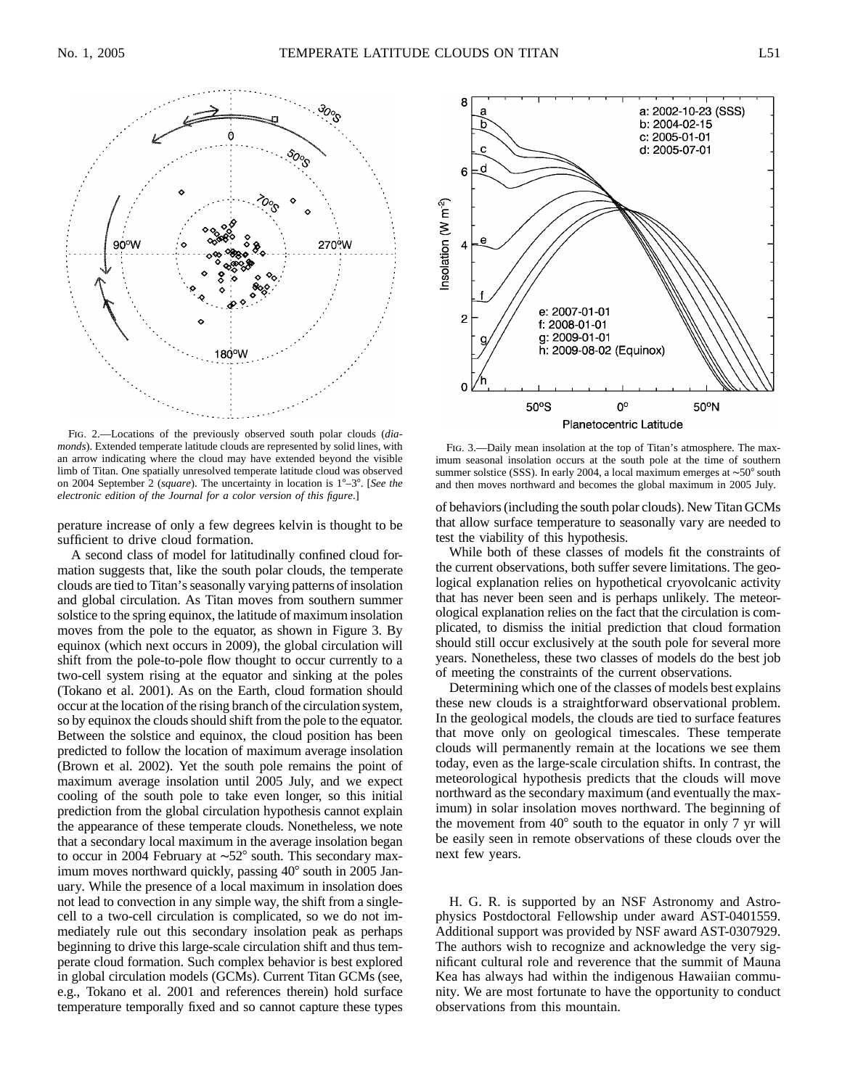

Fig. 2.—Locations of the previously observed south polar clouds (*diamonds*). Extended temperate latitude clouds are represented by solid lines, with an arrow indicating where the cloud may have extended beyond the visible limb of Titan. One spatially unresolved temperate latitude cloud was observed on 2004 September 2 (*square*). The uncertainty in location is  $1^{\circ}-3^{\circ}$ . [See the *electronic edition of the Journal for a color version of this figure*.]

perature increase of only a few degrees kelvin is thought to be sufficient to drive cloud formation.

A second class of model for latitudinally confined cloud formation suggests that, like the south polar clouds, the temperate clouds are tied to Titan's seasonally varying patterns of insolation and global circulation. As Titan moves from southern summer solstice to the spring equinox, the latitude of maximum insolation moves from the pole to the equator, as shown in Figure 3. By equinox (which next occurs in 2009), the global circulation will shift from the pole-to-pole flow thought to occur currently to a two-cell system rising at the equator and sinking at the poles (Tokano et al. 2001). As on the Earth, cloud formation should occur at the location of the rising branch of the circulation system, so by equinox the clouds should shift from the pole to the equator. Between the solstice and equinox, the cloud position has been predicted to follow the location of maximum average insolation (Brown et al. 2002). Yet the south pole remains the point of maximum average insolation until 2005 July, and we expect cooling of the south pole to take even longer, so this initial prediction from the global circulation hypothesis cannot explain the appearance of these temperate clouds. Nonetheless, we note that a secondary local maximum in the average insolation began to occur in 2004 February at ∼52° south. This secondary maximum moves northward quickly, passing 40° south in 2005 January. While the presence of a local maximum in insolation does not lead to convection in any simple way, the shift from a singlecell to a two-cell circulation is complicated, so we do not immediately rule out this secondary insolation peak as perhaps beginning to drive this large-scale circulation shift and thus temperate cloud formation. Such complex behavior is best explored in global circulation models (GCMs). Current Titan GCMs (see, e.g., Tokano et al. 2001 and references therein) hold surface temperature temporally fixed and so cannot capture these types



FIG. 3.—Daily mean insolation at the top of Titan's atmosphere. The maximum seasonal insolation occurs at the south pole at the time of southern summer solstice (SSS). In early 2004, a local maximum emerges at ∼50° south and then moves northward and becomes the global maximum in 2005 July.

of behaviors (including the south polar clouds). New Titan GCMs that allow surface temperature to seasonally vary are needed to test the viability of this hypothesis.

While both of these classes of models fit the constraints of the current observations, both suffer severe limitations. The geological explanation relies on hypothetical cryovolcanic activity that has never been seen and is perhaps unlikely. The meteorological explanation relies on the fact that the circulation is complicated, to dismiss the initial prediction that cloud formation should still occur exclusively at the south pole for several more years. Nonetheless, these two classes of models do the best job of meeting the constraints of the current observations.

Determining which one of the classes of models best explains these new clouds is a straightforward observational problem. In the geological models, the clouds are tied to surface features that move only on geological timescales. These temperate clouds will permanently remain at the locations we see them today, even as the large-scale circulation shifts. In contrast, the meteorological hypothesis predicts that the clouds will move northward as the secondary maximum (and eventually the maximum) in solar insolation moves northward. The beginning of the movement from  $40^{\circ}$  south to the equator in only 7 yr will be easily seen in remote observations of these clouds over the next few years.

H. G. R. is supported by an NSF Astronomy and Astrophysics Postdoctoral Fellowship under award AST-0401559. Additional support was provided by NSF award AST-0307929. The authors wish to recognize and acknowledge the very significant cultural role and reverence that the summit of Mauna Kea has always had within the indigenous Hawaiian community. We are most fortunate to have the opportunity to conduct observations from this mountain.